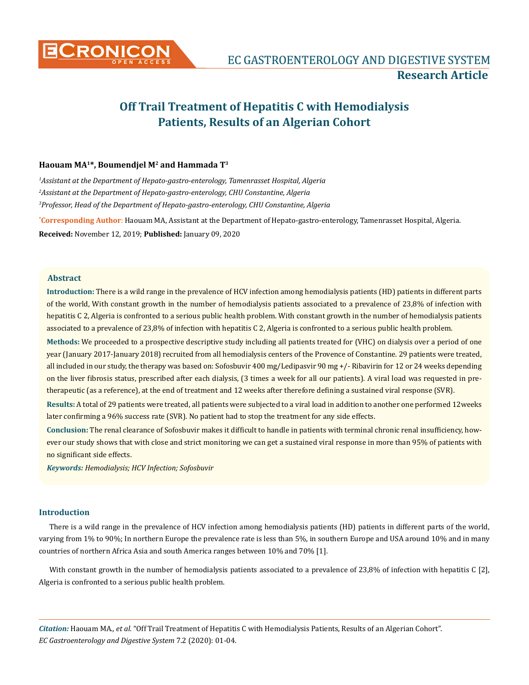

# **Off Trail Treatment of Hepatitis C with Hemodialysis Patients, Results of an Algerian Cohort**

## **Haouam MA1\*, Boumendjel M2 and Hammada T3**

*1 Assistant at the Department of Hepato-gastro-enterology, Tamenrasset Hospital, Algeria 2 Assistant at the Department of Hepato-gastro-enterology, CHU Constantine, Algeria 3 Professor, Head of the Department of Hepato-gastro-enterology, CHU Constantine, Algeria*

**\* Corresponding Author**: Haouam MA, Assistant at the Department of Hepato-gastro-enterology, Tamenrasset Hospital, Algeria. **Received:** November 12, 2019; **Published:** January 09, 2020

#### **Abstract**

**Introduction:** There is a wild range in the prevalence of HCV infection among hemodialysis patients (HD) patients in different parts of the world, With constant growth in the number of hemodialysis patients associated to a prevalence of 23,8% of infection with hepatitis C 2, Algeria is confronted to a serious public health problem. With constant growth in the number of hemodialysis patients associated to a prevalence of 23,8% of infection with hepatitis C 2, Algeria is confronted to a serious public health problem.

**Methods:** We proceeded to a prospective descriptive study including all patients treated for (VHC) on dialysis over a period of one year (January 2017-January 2018) recruited from all hemodialysis centers of the Provence of Constantine. 29 patients were treated, all included in our study, the therapy was based on: Sofosbuvir 400 mg/Ledipasvir 90 mg +/- Ribavirin for 12 or 24 weeks depending on the liver fibrosis status, prescribed after each dialysis, (3 times a week for all our patients). A viral load was requested in pretherapeutic (as a reference), at the end of treatment and 12 weeks after therefore defining a sustained viral response (SVR).

**Results:** A total of 29 patients were treated, all patients were subjected to a viral load in addition to another one performed 12weeks later confirming a 96% success rate (SVR). No patient had to stop the treatment for any side effects.

**Conclusion:** The renal clearance of Sofosbuvir makes it difficult to handle in patients with terminal chronic renal insufficiency, however our study shows that with close and strict monitoring we can get a sustained viral response in more than 95% of patients with no significant side effects.

*Keywords: Hemodialysis; HCV Infection; Sofosbuvir*

## **Introduction**

There is a wild range in the prevalence of HCV infection among hemodialysis patients (HD) patients in different parts of the world, varying from 1% to 90%; In northern Europe the prevalence rate is less than 5%, in southern Europe and USA around 10% and in many countries of northern Africa Asia and south America ranges between 10% and 70% [1].

With constant growth in the number of hemodialysis patients associated to a prevalence of 23,8% of infection with hepatitis C [2], Algeria is confronted to a serious public health problem.

*Citation:* Haouam MA*., et al.* "Off Trail Treatment of Hepatitis C with Hemodialysis Patients, Results of an Algerian Cohort". *EC Gastroenterology and Digestive System* 7.2 (2020): 01-04.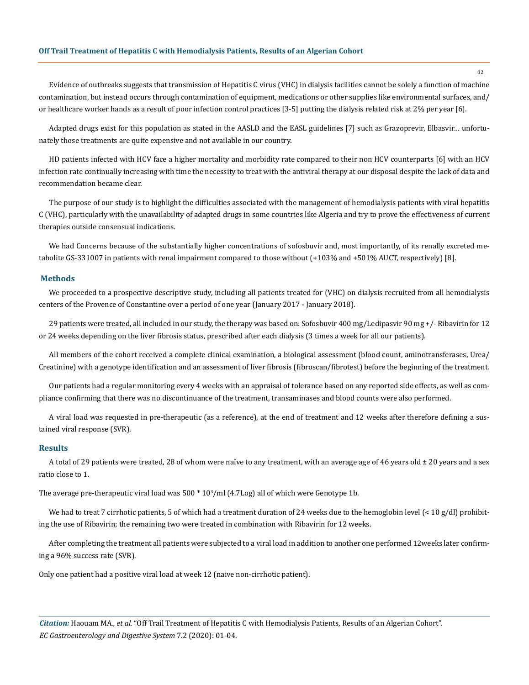Evidence of outbreaks suggests that transmission of Hepatitis C virus (VHC) in dialysis facilities cannot be solely a function of machine contamination, but instead occurs through contamination of equipment, medications or other supplies like environmental surfaces, and/ or healthcare worker hands as a result of poor infection control practices [3-5] putting the dialysis related risk at 2% per year [6].

Adapted drugs exist for this population as stated in the AASLD and the EASL guidelines [7] such as Grazoprevir, Elbasvir… unfortunately those treatments are quite expensive and not available in our country.

HD patients infected with HCV face a higher mortality and morbidity rate compared to their non HCV counterparts [6] with an HCV infection rate continually increasing with time the necessity to treat with the antiviral therapy at our disposal despite the lack of data and recommendation became clear.

The purpose of our study is to highlight the difficulties associated with the management of hemodialysis patients with viral hepatitis C (VHC), particularly with the unavailability of adapted drugs in some countries like Algeria and try to prove the effectiveness of current therapies outside consensual indications.

We had Concerns because of the substantially higher concentrations of sofosbuvir and, most importantly, of its renally excreted metabolite GS-331007 in patients with renal impairment compared to those without (+103% and +501% AUCT, respectively) [8].

#### **Methods**

We proceeded to a prospective descriptive study, including all patients treated for (VHC) on dialysis recruited from all hemodialysis centers of the Provence of Constantine over a period of one year (January 2017 - January 2018).

29 patients were treated, all included in our study, the therapy was based on: Sofosbuvir 400 mg/Ledipasvir 90 mg +/- Ribavirin for 12 or 24 weeks depending on the liver fibrosis status, prescribed after each dialysis (3 times a week for all our patients).

All members of the cohort received a complete clinical examination, a biological assessment (blood count, aminotransferases, Urea/ Creatinine) with a genotype identification and an assessment of liver fibrosis (fibroscan/fibrotest) before the beginning of the treatment.

Our patients had a regular monitoring every 4 weeks with an appraisal of tolerance based on any reported side effects, as well as compliance confirming that there was no discontinuance of the treatment, transaminases and blood counts were also performed.

A viral load was requested in pre-therapeutic (as a reference), at the end of treatment and 12 weeks after therefore defining a sustained viral response (SVR).

## **Results**

A total of 29 patients were treated, 28 of whom were naïve to any treatment, with an average age of 46 years old  $\pm$  20 years and a sex ratio close to 1.

The average pre-therapeutic viral load was  $500 * 10<sup>3</sup>/m$ l (4.7Log) all of which were Genotype 1b.

We had to treat 7 cirrhotic patients, 5 of which had a treatment duration of 24 weeks due to the hemoglobin level (< 10 g/dl) prohibiting the use of Ribavirin; the remaining two were treated in combination with Ribavirin for 12 weeks.

After completing the treatment all patients were subjected to a viral load in addition to another one performed 12weeks later confirming a 96% success rate (SVR).

Only one patient had a positive viral load at week 12 (naive non-cirrhotic patient).

*Citation:* Haouam MA*., et al.* "Off Trail Treatment of Hepatitis C with Hemodialysis Patients, Results of an Algerian Cohort". *EC Gastroenterology and Digestive System* 7.2 (2020): 01-04.

02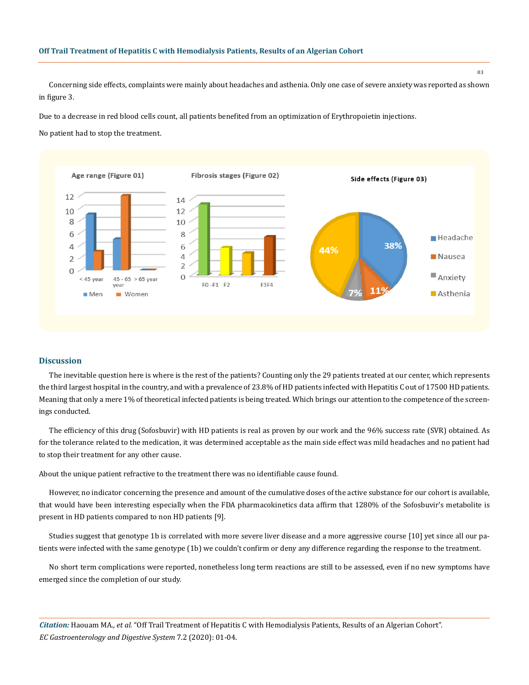#### **Off Trail Treatment of Hepatitis C with Hemodialysis Patients, Results of an Algerian Cohort**

Concerning side effects, complaints were mainly about headaches and asthenia. Only one case of severe anxiety was reported as shown in figure 3.

Due to a decrease in red blood cells count, all patients benefited from an optimization of Erythropoietin injections.

No patient had to stop the treatment.



## **Discussion**

The inevitable question here is where is the rest of the patients? Counting only the 29 patients treated at our center, which represents the third largest hospital in the country, and with a prevalence of 23.8% of HD patients infected with Hepatitis C out of 17500 HD patients. Meaning that only a mere 1% of theoretical infected patients is being treated. Which brings our attention to the competence of the screenings conducted.

The efficiency of this drug (Sofosbuvir) with HD patients is real as proven by our work and the 96% success rate (SVR) obtained. As for the tolerance related to the medication, it was determined acceptable as the main side effect was mild headaches and no patient had to stop their treatment for any other cause.

About the unique patient refractive to the treatment there was no identifiable cause found.

However, no indicator concerning the presence and amount of the cumulative doses of the active substance for our cohort is available, that would have been interesting especially when the FDA pharmacokinetics data affirm that 1280% of the Sofosbuvir's metabolite is present in HD patients compared to non HD patients [9].

Studies suggest that genotype 1b is correlated with more severe liver disease and a more aggressive course [10] yet since all our patients were infected with the same genotype (1b) we couldn't confirm or deny any difference regarding the response to the treatment.

No short term complications were reported, nonetheless long term reactions are still to be assessed, even if no new symptoms have emerged since the completion of our study.

*Citation:* Haouam MA*., et al.* "Off Trail Treatment of Hepatitis C with Hemodialysis Patients, Results of an Algerian Cohort". *EC Gastroenterology and Digestive System* 7.2 (2020): 01-04.

03